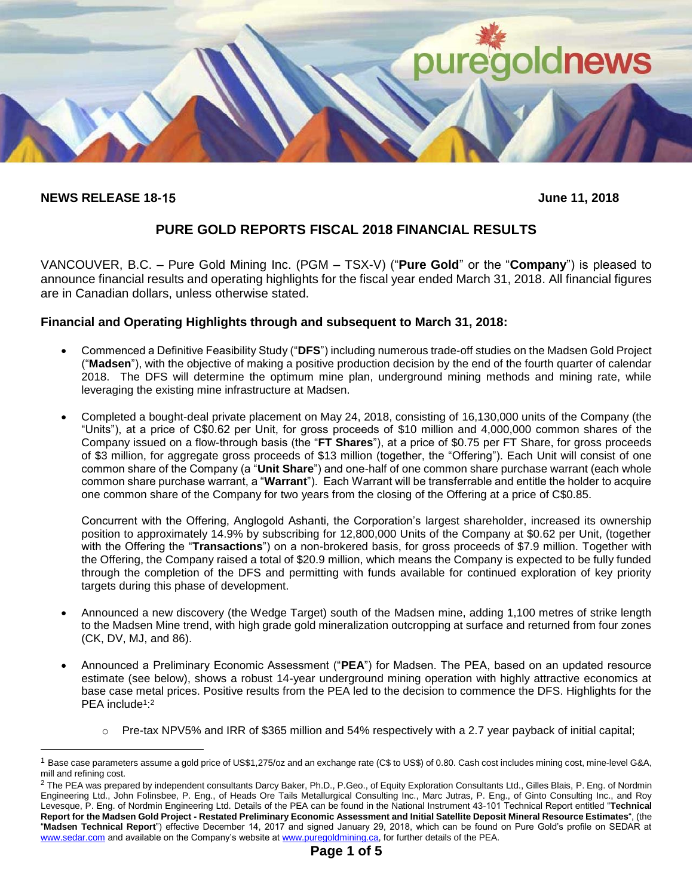

**NEWS RELEASE 18-**15 **June 11, 2018**

 $\overline{a}$ 

# **PURE GOLD REPORTS FISCAL 2018 FINANCIAL RESULTS**

VANCOUVER, B.C. – Pure Gold Mining Inc. (PGM – TSX-V) ("**Pure Gold**" or the "**Company**") is pleased to announce financial results and operating highlights for the fiscal year ended March 31, 2018. All financial figures are in Canadian dollars, unless otherwise stated.

## **Financial and Operating Highlights through and subsequent to March 31, 2018:**

- Commenced a Definitive Feasibility Study ("**DFS**") including numerous trade-off studies on the Madsen Gold Project ("**Madsen**"), with the objective of making a positive production decision by the end of the fourth quarter of calendar 2018. The DFS will determine the optimum mine plan, underground mining methods and mining rate, while leveraging the existing mine infrastructure at Madsen.
- Completed a bought-deal private placement on May 24, 2018, consisting of 16,130,000 units of the Company (the "Units"), at a price of C\$0.62 per Unit, for gross proceeds of \$10 million and 4,000,000 common shares of the Company issued on a flow-through basis (the "**FT Shares**"), at a price of \$0.75 per FT Share, for gross proceeds of \$3 million, for aggregate gross proceeds of \$13 million (together, the "Offering"). Each Unit will consist of one common share of the Company (a "**Unit Share**") and one-half of one common share purchase warrant (each whole common share purchase warrant, a "**Warrant**"). Each Warrant will be transferrable and entitle the holder to acquire one common share of the Company for two years from the closing of the Offering at a price of C\$0.85.

Concurrent with the Offering, Anglogold Ashanti, the Corporation's largest shareholder, increased its ownership position to approximately 14.9% by subscribing for 12,800,000 Units of the Company at \$0.62 per Unit, (together with the Offering the "**Transactions**") on a non-brokered basis, for gross proceeds of \$7.9 million. Together with the Offering, the Company raised a total of \$20.9 million, which means the Company is expected to be fully funded through the completion of the DFS and permitting with funds available for continued exploration of key priority targets during this phase of development.

- Announced a new discovery (the Wedge Target) south of the Madsen mine, adding 1,100 metres of strike length to the Madsen Mine trend, with high grade gold mineralization outcropping at surface and returned from four zones (CK, DV, MJ, and 86).
- Announced a Preliminary Economic Assessment ("**PEA**") for Madsen. The PEA, based on an updated resource estimate (see below), shows a robust 14-year underground mining operation with highly attractive economics at base case metal prices. Positive results from the PEA led to the decision to commence the DFS. Highlights for the PEA include<sup>1</sup>:<sup>2</sup>
	- $\circ$  Pre-tax NPV5% and IRR of \$365 million and 54% respectively with a 2.7 year payback of initial capital;

 $^1$  Base case parameters assume a gold price of US\$1,275/oz and an exchange rate (C\$ to US\$) of 0.80. Cash cost includes mining cost, mine-level G&A, mill and refining cost.

<sup>&</sup>lt;sup>2</sup> The PEA was prepared by independent consultants Darcy Baker, Ph.D., P.Geo., of Equity Exploration Consultants Ltd., Gilles Blais, P. Eng. of Nordmin Engineering Ltd., John Folinsbee, P. Eng., of Heads Ore Tails Metallurgical Consulting Inc., Marc Jutras, P. Eng., of Ginto Consulting Inc., and Roy Levesque, P. Eng. of Nordmin Engineering Ltd. Details of the PEA can be found in the National Instrument 43-101 Technical Report entitled "**Technical Report for the Madsen Gold Project - Restated Preliminary Economic Assessment and Initial Satellite Deposit Mineral Resource Estimates**", (the "**Madsen Technical Report**") effective December 14, 2017 and signed January 29, 2018, which can be found on Pure Gold's profile on SEDAR at [www.sedar.com](http://www.sedar.com/) and available on the Company's website a[t www.puregoldmining.ca,](http://www.puregoldmining.ca/) for further details of the PEA.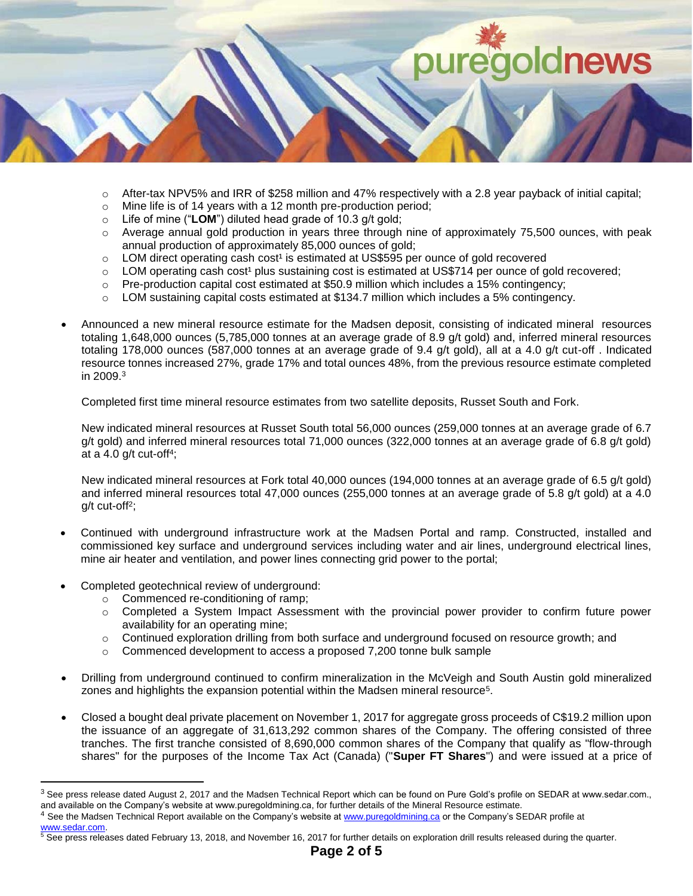

- $\circ$  After-tax NPV5% and IRR of \$258 million and 47% respectively with a 2.8 year payback of initial capital;
- o Mine life is of 14 years with a 12 month pre-production period;
- o Life of mine ("**LOM**") diluted head grade of 10.3 g/t gold;
- $\circ$  Average annual gold production in years three through nine of approximately 75,500 ounces, with peak annual production of approximately 85,000 ounces of gold;
- $\circ$  LOM direct operating cash cost<sup>1</sup> is estimated at US\$595 per ounce of gold recovered
- $\circ$  LOM operating cash cost<sup>1</sup> plus sustaining cost is estimated at US\$714 per ounce of gold recovered;
- o Pre-production capital cost estimated at \$50.9 million which includes a 15% contingency;
- $\circ$  LOM sustaining capital costs estimated at \$134.7 million which includes a 5% contingency.
- Announced a new mineral resource estimate for the Madsen deposit, consisting of indicated mineral resources totaling 1,648,000 ounces (5,785,000 tonnes at an average grade of 8.9 g/t gold) and, inferred mineral resources totaling 178,000 ounces (587,000 tonnes at an average grade of 9.4 g/t gold), all at a 4.0 g/t cut-off . Indicated resource tonnes increased 27%, grade 17% and total ounces 48%, from the previous resource estimate completed in 2009.<sup>3</sup>

Completed first time mineral resource estimates from two satellite deposits, Russet South and Fork.

New indicated mineral resources at Russet South total 56,000 ounces (259,000 tonnes at an average grade of 6.7 g/t gold) and inferred mineral resources total 71,000 ounces (322,000 tonnes at an average grade of 6.8 g/t gold) at a 4.0  $g/t$  cut-off<sup>4</sup>;

New indicated mineral resources at Fork total 40,000 ounces (194,000 tonnes at an average grade of 6.5 g/t gold) and inferred mineral resources total 47,000 ounces (255,000 tonnes at an average grade of 5.8 g/t gold) at a 4.0 g/t cut-off<sup>2</sup> ;

- Continued with underground infrastructure work at the Madsen Portal and ramp. Constructed, installed and commissioned key surface and underground services including water and air lines, underground electrical lines, mine air heater and ventilation, and power lines connecting grid power to the portal;
- Completed geotechnical review of underground:
	- o Commenced re-conditioning of ramp;
	- o Completed a System Impact Assessment with the provincial power provider to confirm future power availability for an operating mine;
	- $\circ$  Continued exploration drilling from both surface and underground focused on resource growth; and
	- Commenced development to access a proposed 7,200 tonne bulk sample
- Drilling from underground continued to confirm mineralization in the McVeigh and South Austin gold mineralized zones and highlights the expansion potential within the Madsen mineral resource<sup>5</sup>.
- Closed a bought deal private placement on November 1, 2017 for aggregate gross proceeds of C\$19.2 million upon the issuance of an aggregate of 31,613,292 common shares of the Company. The offering consisted of three tranches. The first tranche consisted of 8,690,000 common shares of the Company that qualify as "flow-through shares" for the purposes of the Income Tax Act (Canada) ("**Super FT Shares**") and were issued at a price of

 $\overline{a}$ 

 $3$  See press release dated August 2, 2017 and the Madsen Technical Report which can be found on Pure Gold's profile on SEDAR at www.sedar.com., and available on the Company's website at www.puregoldmining.ca, for further details of the Mineral Resource estimate.

<sup>4</sup> See the Madsen Technical Report available on the Company's website at [www.puregoldmining.ca](file://///occ-kel-data01/PureGold%20Accounting/Users/dlabrenz/AppData/Local/Microsoft/Windows/Temporary%20Internet%20Files/Content.Outlook/AppData/Local/Microsoft/Windows/Temporary%20Internet%20Files/Content.Outlook/4OK1LN8G/www.puregoldmining.ca) or the Company's SEDAR profile at

[www.sedar.com.](http://www.sedar.com/)

<sup>&</sup>lt;sup>5</sup> See press releases dated February 13, 2018, and November 16, 2017 for further details on exploration drill results released during the quarter.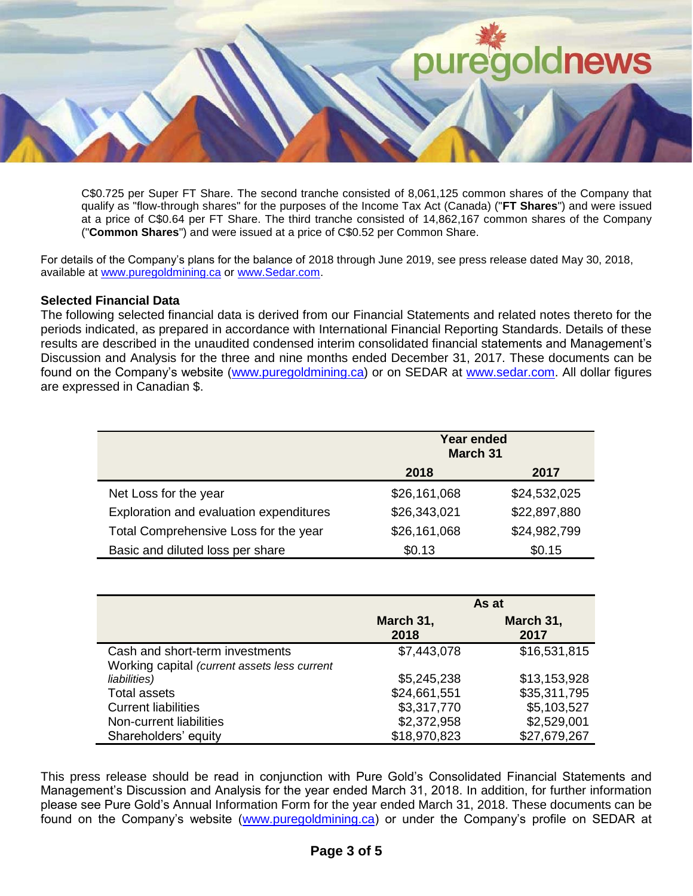

C\$0.725 per Super FT Share. The second tranche consisted of 8,061,125 common shares of the Company that qualify as "flow-through shares" for the purposes of the Income Tax Act (Canada) ("**FT Shares**") and were issued at a price of C\$0.64 per FT Share. The third tranche consisted of 14,862,167 common shares of the Company ("**Common Shares**") and were issued at a price of C\$0.52 per Common Share.

For details of the Company's plans for the balance of 2018 through June 2019, see press release dated May 30, 2018, available at [www.puregoldmining.ca](http://www.puregoldmining.ca/) or [www.Sedar.com.](http://www.sedar.com/)

## **Selected Financial Data**

The following selected financial data is derived from our Financial Statements and related notes thereto for the periods indicated, as prepared in accordance with International Financial Reporting Standards. Details of these results are described in the unaudited condensed interim consolidated financial statements and Management's Discussion and Analysis for the three and nine months ended December 31, 2017. These documents can be found on the Company's website [\(www.puregoldmining.ca\)](http://www.puregoldmining.ca/) or on SEDAR at [www.sedar.com.](http://www.sedar.com/) All dollar figures are expressed in Canadian \$.

|                                         | <b>Year ended</b><br><b>March 31</b> |              |
|-----------------------------------------|--------------------------------------|--------------|
|                                         | 2018                                 | 2017         |
| Net Loss for the year                   | \$26,161,068                         | \$24,532,025 |
| Exploration and evaluation expenditures | \$26,343,021                         | \$22,897,880 |
| Total Comprehensive Loss for the year   | \$26,161,068                         | \$24,982,799 |
| Basic and diluted loss per share        | \$0.13                               | \$0.15       |

|                                              | As at             |                   |
|----------------------------------------------|-------------------|-------------------|
|                                              | March 31,<br>2018 | March 31,<br>2017 |
| Cash and short-term investments              | \$7,443,078       | \$16,531,815      |
| Working capital (current assets less current |                   |                   |
| liabilities)                                 | \$5,245,238       | \$13,153,928      |
| <b>Total assets</b>                          | \$24,661,551      | \$35,311,795      |
| <b>Current liabilities</b>                   | \$3,317,770       | \$5,103,527       |
| Non-current liabilities                      | \$2,372,958       | \$2,529,001       |
| Shareholders' equity                         | \$18,970,823      | \$27,679,267      |

This press release should be read in conjunction with Pure Gold's Consolidated Financial Statements and Management's Discussion and Analysis for the year ended March 31, 2018. In addition, for further information please see Pure Gold's Annual Information Form for the year ended March 31, 2018. These documents can be found on the Company's website [\(www.puregoldmining.ca\)](http://www.puregoldmining.ca/) or under the Company's profile on SEDAR at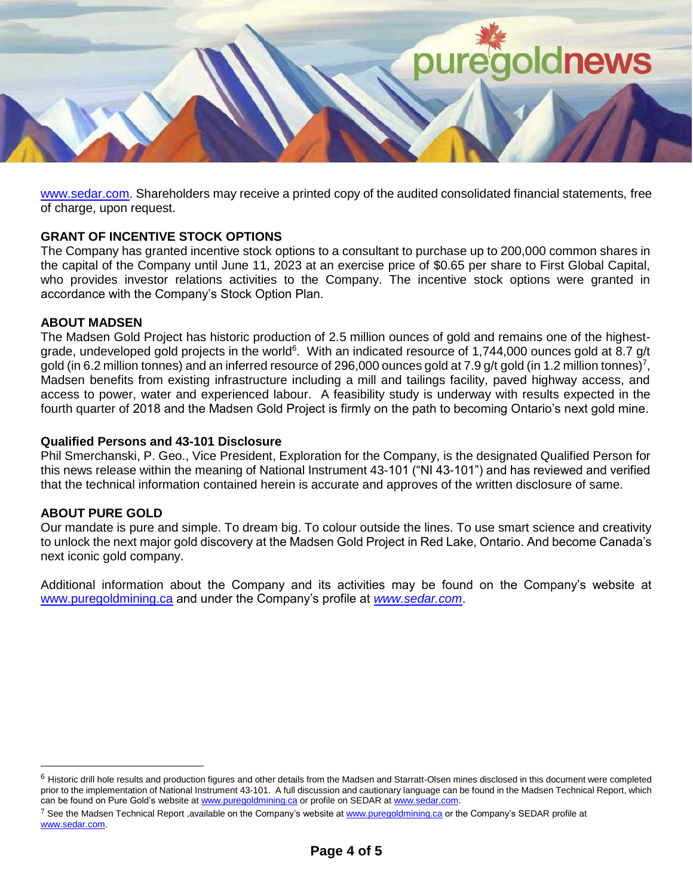

[www.sedar.com.](http://www.sedar.com/) Shareholders may receive a printed copy of the audited consolidated financial statements, free of charge, upon request.

## **GRANT OF INCENTIVE STOCK OPTIONS**

The Company has granted incentive stock options to a consultant to purchase up to 200,000 common shares in the capital of the Company until June 11, 2023 at an exercise price of \$0.65 per share to First Global Capital, who provides investor relations activities to the Company. The incentive stock options were granted in accordance with the Company's Stock Option Plan.

#### **ABOUT MADSEN**

The Madsen Gold Project has historic production of 2.5 million ounces of gold and remains one of the highestgrade, undeveloped gold projects in the world<sup>6</sup>. With an indicated resource of 1,744,000 ounces gold at 8.7 g/t gold (in 6.2 million tonnes) and an inferred resource of 296,000 ounces gold at 7.9 g/t gold (in 1.2 million tonnes)<sup>7</sup>, Madsen benefits from existing infrastructure including a mill and tailings facility, paved highway access, and access to power, water and experienced labour. A feasibility study is underway with results expected in the fourth quarter of 2018 and the Madsen Gold Project is firmly on the path to becoming Ontario's next gold mine.

## **Qualified Persons and 43-101 Disclosure**

Phil Smerchanski, P. Geo., Vice President, Exploration for the Company, is the designated Qualified Person for this news release within the meaning of National Instrument 43-101 ("NI 43-101") and has reviewed and verified that the technical information contained herein is accurate and approves of the written disclosure of same.

## **ABOUT PURE GOLD**

 $\overline{a}$ 

Our mandate is pure and simple. To dream big. To colour outside the lines. To use smart science and creativity to unlock the next major gold discovery at the Madsen Gold Project in Red Lake, Ontario. And become Canada's next iconic gold company.

Additional information about the Company and its activities may be found on the Company's website at [www.puregoldmining.ca](http://www.puregoldmining.ca/) and under the Company's profile at *[www.sedar.com](http://www.sedar.com/)*.

 $6$  Historic drill hole results and production figures and other details from the Madsen and Starratt-Olsen mines disclosed in this document were completed prior to the implementation of National Instrument 43-101. A full discussion and cautionary language can be found in the Madsen Technical Report, which can be found on Pure Gold's website at [www.puregoldmining.ca](http://www.puregoldmining.ca/) or profile on SEDAR a[t www.sedar.com.](http://www.sedar.com/)

<sup>&</sup>lt;sup>7</sup> See the Madsen Technical Report ,available on the Company's website at [www.puregoldmining.ca](file://///10.75.25.31/Accounting/Users/dlabrenz/AppData/Local/Microsoft/Windows/Temporary%20Internet%20Files/Content.Outlook/AppData/Local/Microsoft/Windows/Temporary%20Internet%20Files/Content.Outlook/4OK1LN8G/www.puregoldmining.ca) or the Company's SEDAR profile at [www.sedar.com.](http://www.sedar.com/)